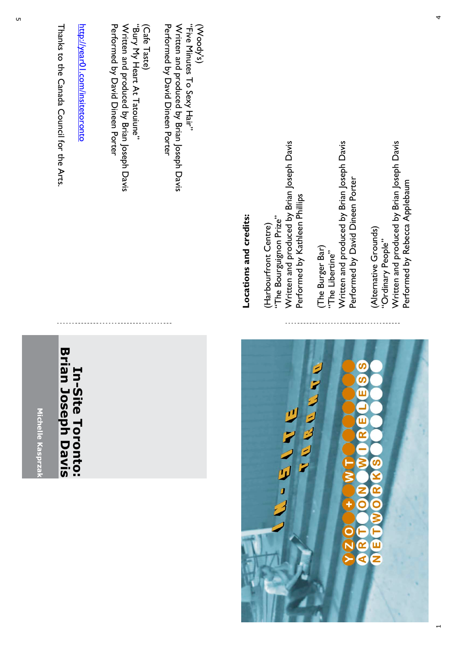

Pertormed py David Dineen Porter (Cafe Taste) Written and produced by Brian Joseph Davis Written and produced by Brian Joseph Davis (Cafe Taste) Performed by David Dineen Porter

(Woody's)

Written and produced by Brian Joseph Davis "Bury My Heart At Tatouiune" "Bury My Heart At Tatouiune" en and produced by Brian Joseph Davis

Performed by David Dineen Porter

Performed by David Dineen Porter

http://year01.com/insitetoronto http://year01.com/insitetoronto

Thanks to the Canada Council for the Arts Thanks to the Canada Council for the Arts.

## **Brian Joseph Davis Brian Joseph Davis**In-Site Toronto: **In-Site Toronto:**

**Michelle Kasprzak**

Michelle Kasprza